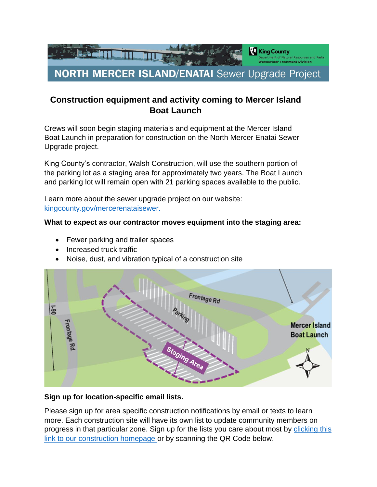

# **Construction equipment and activity coming to Mercer Island Boat Launch**

Crews will soon begin staging materials and equipment at the Mercer Island Boat Launch in preparation for construction on the North Mercer Enatai Sewer Upgrade project.

King County's contractor, Walsh Construction, will use the southern portion of the parking lot as a staging area for approximately two years. The Boat Launch and parking lot will remain open with 21 parking spaces available to the public.

Learn more about the sewer upgrade project on our website: [kingcounty.gov/mercerenataisewer.](http://www.kingcounty.gov/mercerenataisewer.)

### **What to expect as our contractor moves equipment into the staging area:**

- Fewer parking and trailer spaces
- Increased truck traffic
- Noise, dust, and vibration typical of a construction site



### **Sign up for location-specific email lists.**

Please sign up for area specific construction notifications by email or texts to learn more. Each construction site will have its own list to update community members on progress in that particular zone. Sign up for the lists you care about most by [clicking this](https://lnks.gd/l/eyJhbGciOiJIUzI1NiJ9.eyJidWxsZXRpbl9saW5rX2lkIjoxMDIsInVyaSI6ImJwMjpjbGljayIsImJ1bGxldGluX2lkIjoiMjAyMjA0MDcuNTYwOTU5MTEiLCJ1cmwiOiJodHRwczovL2tpbmdjb3VudHkuZ292L2RlcHRzL2RucnAvd3RkL2NhcGl0YWwtcHJvamVjdHMvYWN0aXZlL25vcnRoLW1lcmNlci1pc2xhbmQtZW5hdGFpLXNld2VyLXVwZ3JhZGUvY29uc3RydWN0aW9uLmFzcHgifQ.3BOx9ZrhUKb90YpMTTAAlj-SdOn4iPOfTjI10UPsg0c/s/728077627/br/129499891941-l)  [link to our construction homepage o](https://lnks.gd/l/eyJhbGciOiJIUzI1NiJ9.eyJidWxsZXRpbl9saW5rX2lkIjoxMDIsInVyaSI6ImJwMjpjbGljayIsImJ1bGxldGluX2lkIjoiMjAyMjA0MDcuNTYwOTU5MTEiLCJ1cmwiOiJodHRwczovL2tpbmdjb3VudHkuZ292L2RlcHRzL2RucnAvd3RkL2NhcGl0YWwtcHJvamVjdHMvYWN0aXZlL25vcnRoLW1lcmNlci1pc2xhbmQtZW5hdGFpLXNld2VyLXVwZ3JhZGUvY29uc3RydWN0aW9uLmFzcHgifQ.3BOx9ZrhUKb90YpMTTAAlj-SdOn4iPOfTjI10UPsg0c/s/728077627/br/129499891941-l)r by scanning the QR Code below.